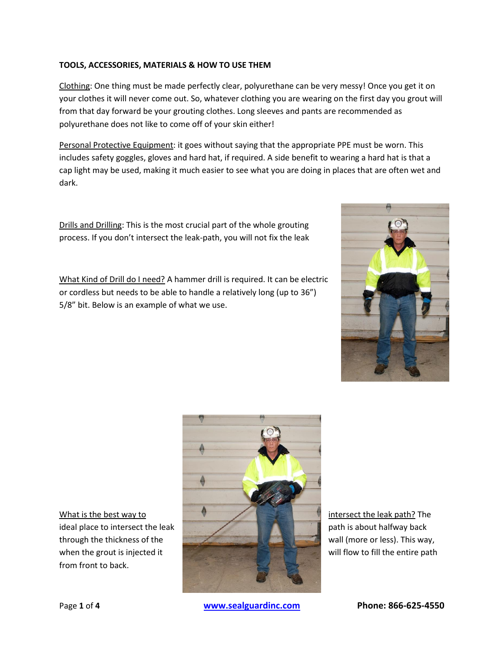## **TOOLS, ACCESSORIES, MATERIALS & HOW TO USE THEM**

Clothing: One thing must be made perfectly clear, polyurethane can be very messy! Once you get it on your clothes it will never come out. So, whatever clothing you are wearing on the first day you grout will from that day forward be your grouting clothes. Long sleeves and pants are recommended as polyurethane does not like to come off of your skin either!

Personal Protective Equipment: it goes without saying that the appropriate PPE must be worn. This includes safety goggles, gloves and hard hat, if required. A side benefit to wearing a hard hat is that a cap light may be used, making it much easier to see what you are doing in places that are often wet and dark.

Drills and Drilling: This is the most crucial part of the whole grouting process. If you don't intersect the leak-path, you will not fix the leak

What Kind of Drill do I need? A hammer drill is required. It can be electric or cordless but needs to be able to handle a relatively long (up to 36") 5/8" bit. Below is an example of what we use.



from front to back.



Page **1** of **4 [www.sealguardinc.com](http://www.sealguardinc.com/) Phone: 866-625-4550**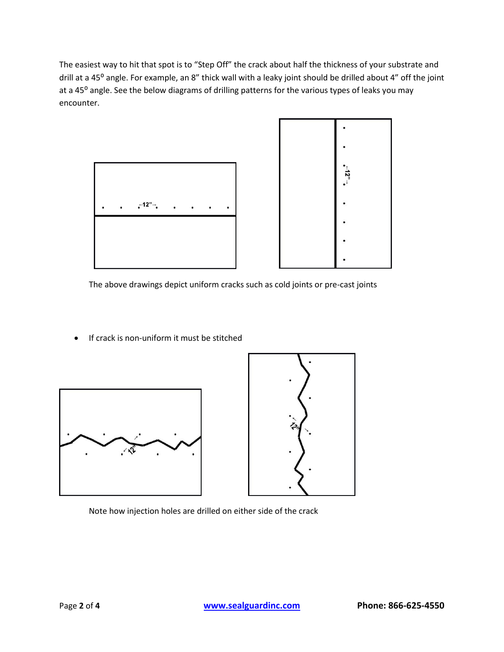The easiest way to hit that spot is to "Step Off" the crack about half the thickness of your substrate and drill at a 45<sup>°</sup> angle. For example, an 8" thick wall with a leaky joint should be drilled about 4" off the joint at a 45<sup>o</sup> angle. See the below diagrams of drilling patterns for the various types of leaks you may encounter.



The above drawings depict uniform cracks such as cold joints or pre-cast joints

• If crack is non-uniform it must be stitched





Note how injection holes are drilled on either side of the crack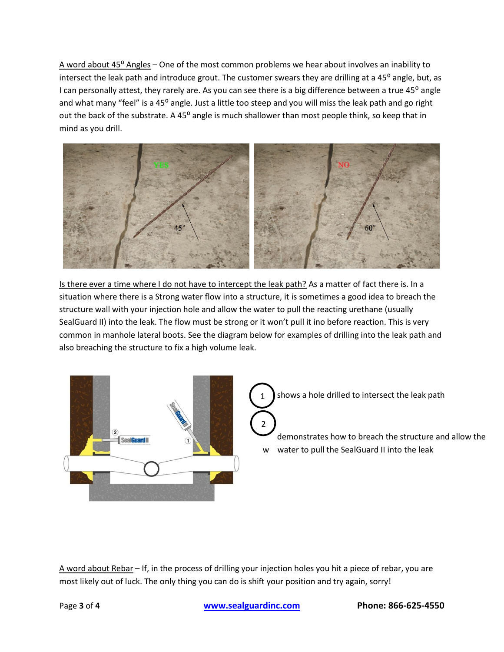A word about  $45^{\circ}$  Angles – One of the most common problems we hear about involves an inability to intersect the leak path and introduce grout. The customer swears they are drilling at a 45° angle, but, as I can personally attest, they rarely are. As you can see there is a big difference between a true 45<sup>°</sup> angle and what many "feel" is a 45° angle. Just a little too steep and you will miss the leak path and go right out the back of the substrate. A 45° angle is much shallower than most people think, so keep that in mind as you drill.



Is there ever a time where I do not have to intercept the leak path? As a matter of fact there is. In a situation where there is a Strong water flow into a structure, it is sometimes a good idea to breach the structure wall with your injection hole and allow the water to pull the reacting urethane (usually SealGuard II) into the leak. The flow must be strong or it won't pull it ino before reaction. This is very common in manhole lateral boots. See the diagram below for examples of drilling into the leak path and also breaching the structure to fix a high volume leak.



A word about Rebar – If, in the process of drilling your injection holes you hit a piece of rebar, you are most likely out of luck. The only thing you can do is shift your position and try again, sorry!